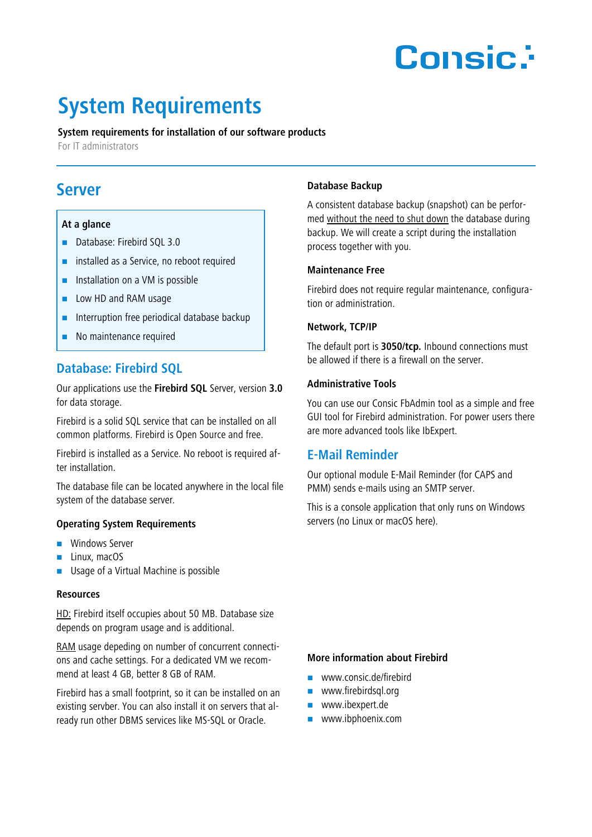# **Consic:**

## **System Requirements**

#### **System requirements for installation of our software products**

For IT administrators

### **Server**

#### **At a glance**

- Database: Firebird SQL 3.0
- **EXECUTE:** installed as a Service, no reboot required
- $\blacksquare$  Installation on a VM is possible
- **Low HD and RAM usage**
- $\blacksquare$  Interruption free periodical database backup
- No maintenance required

#### **Database: Firebird SQL**

Our applications use the **Firebird SQL** Server, version **3.0** for data storage.

Firebird is a solid SQL service that can be installed on all common platforms. Firebird is Open Source and free.

Firebird is installed as a Service. No reboot is required after installation.

The database file can be located anywhere in the local file system of the database server.

#### **Operating System Requirements**

- **Windows Server**
- $\blacksquare$  Linux, macOS
- Usage of a Virtual Machine is possible

#### **Resources**

HD: Firebird itself occupies about 50 MB. Database size depends on program usage and is additional.

RAM usage depeding on number of concurrent connections and cache settings. For a dedicated VM we recommend at least 4 GB, better 8 GB of RAM.

Firebird has a small footprint, so it can be installed on an existing servber. You can also install it on servers that already run other DBMS services like MS-SQL or Oracle.

#### **Database Backup**

A consistent database backup (snapshot) can be performed without the need to shut down the database during backup. We will create a script during the installation process together with you.

#### **Maintenance Free**

Firebird does not require regular maintenance, configuration or administration.

#### **Network, TCP/IP**

The default port is **3050/tcp.** Inbound connections must be allowed if there is a firewall on the server.

#### **Administrative Tools**

You can use our Consic FbAdmin tool as a simple and free GUI tool for Firebird administration. For power users there are more advanced tools like IbExpert.

#### **E-Mail Reminder**

Our optional module E-Mail Reminder (for CAPS and PMM) sends e-mails using an SMTP server.

This is a console application that only runs on Windows servers (no Linux or macOS here).

#### **More information about Firebird**

- www.consic.de/firebird
- **www.firebirdsql.org**
- **www.ibexpert.de**
- www.ibphoenix.com